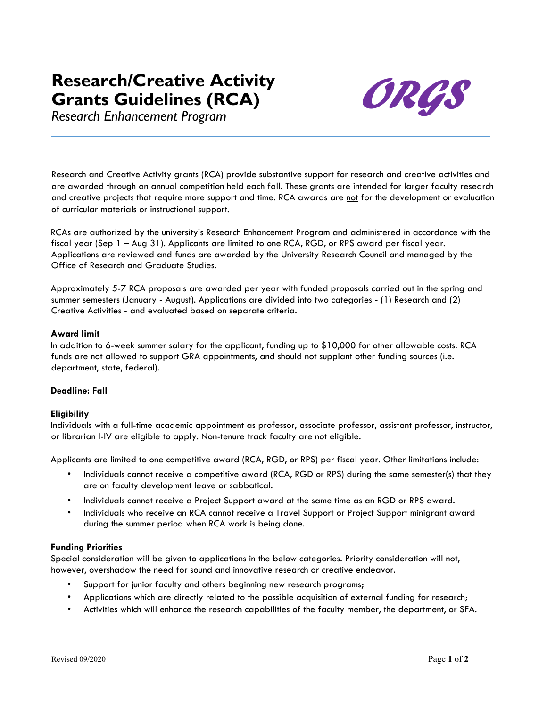# **Research/Creative Activity Grants Guidelines (RCA)**



*Research Enhancement Program* 

Research and Creative Activity grants (RCA) provide substantive support for research and creative activities and are awarded through an annual competition held each fall. These grants are intended for larger faculty research and creative projects that require more support and time. RCA awards are not for the development or evaluation of curricular materials or instructional support.

RCAs are authorized by the university's Research Enhancement Program and administered in accordance with the fiscal year (Sep 1 – Aug 31). Applicants are limited to one RCA, RGD, or RPS award per fiscal year. Applications are reviewed and funds are awarded by the University Research Council and managed by the Office of Research and Graduate Studies.

Approximately 5-7 RCA proposals are awarded per year with funded proposals carried out in the spring and summer semesters (January - August). Applications are divided into two categories - (1) Research and (2) Creative Activities - and evaluated based on separate criteria.

## **Award limit**

In addition to 6-week summer salary for the applicant, funding up to \$10,000 for other allowable costs. RCA funds are not allowed to support GRA appointments, and should not supplant other funding sources (i.e. department, state, federal).

## **Deadline: Fall**

## **Eligibility**

Individuals with a full-time academic appointment as professor, associate professor, assistant professor, instructor, or librarian I-IV are eligible to apply. Non-tenure track faculty are not eligible.

Applicants are limited to one competitive award (RCA, RGD, or RPS) per fiscal year. Other limitations include:

- Individuals cannot receive a competitive award (RCA, RGD or RPS) during the same semester(s) that they are on faculty development leave or sabbatical.
- Individuals cannot receive a Project Support award at the same time as an RGD or RPS award.
- Individuals who receive an RCA cannot receive a Travel Support or Project Support minigrant award during the summer period when RCA work is being done.

## **Funding Priorities**

Special consideration will be given to applications in the below categories. Priority consideration will not, however, overshadow the need for sound and innovative research or creative endeavor.

- Support for junior faculty and others beginning new research programs;
- Applications which are directly related to the possible acquisition of external funding for research;
- Activities which will enhance the research capabilities of the faculty member, the department, or SFA.